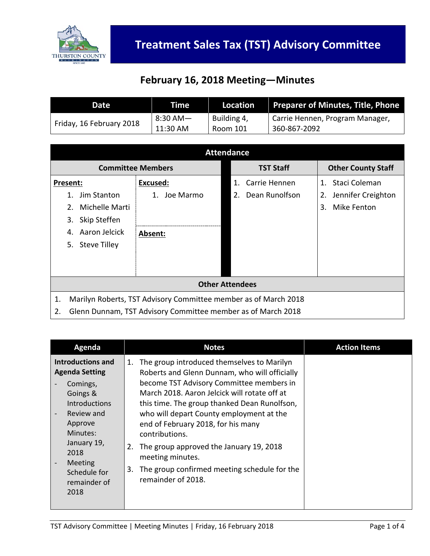

## **February 16, 2018 Meeting—Minutes**

| <b>Date</b>              | Time     | Location    | <b>Preparer of Minutes, Title, Phone</b> |
|--------------------------|----------|-------------|------------------------------------------|
| Friday, 16 February 2018 | 8:30 AM— | Building 4, | Carrie Hennen, Program Manager,          |
|                          | 11:30 AM | Room 101    | 360-867-2092                             |

| <b>Attendance</b>                                                     |                 |                      |                           |  |
|-----------------------------------------------------------------------|-----------------|----------------------|---------------------------|--|
| <b>Committee Members</b>                                              |                 | <b>TST Staff</b>     | <b>Other County Staff</b> |  |
| Present:                                                              | Excused:        | Carrie Hennen<br>1.  | 1. Staci Coleman          |  |
| Jim Stanton<br>1.                                                     | Joe Marmo<br>1. | Dean Runolfson<br>2. | Jennifer Creighton<br>2.  |  |
| Michelle Marti<br>2.                                                  |                 |                      | Mike Fenton<br>3.         |  |
| Skip Steffen<br>3.                                                    |                 |                      |                           |  |
| Aaron Jelcick<br>4.                                                   | Absent:         |                      |                           |  |
| Steve Tilley<br>5.                                                    |                 |                      |                           |  |
|                                                                       |                 |                      |                           |  |
|                                                                       |                 |                      |                           |  |
| <b>Other Attendees</b>                                                |                 |                      |                           |  |
| Marilyn Roberts, TST Advisory Committee member as of March 2018<br>1. |                 |                      |                           |  |
| Glenn Dunnam, TST Advisory Committee member as of March 2018<br>2.    |                 |                      |                           |  |

| Agenda                                                                                                                                                                   | <b>Notes</b>                                                                                                                                                                                                                                                                                                                                                                                                           | <b>Action Items</b> |
|--------------------------------------------------------------------------------------------------------------------------------------------------------------------------|------------------------------------------------------------------------------------------------------------------------------------------------------------------------------------------------------------------------------------------------------------------------------------------------------------------------------------------------------------------------------------------------------------------------|---------------------|
| Introductions and<br><b>Agenda Setting</b><br>Comings,<br>Goings &<br><b>Introductions</b><br>Review and<br>Approve<br>Minutes:<br>January 19,<br>2018<br><b>Meeting</b> | The group introduced themselves to Marilyn<br>1.<br>Roberts and Glenn Dunnam, who will officially<br>become TST Advisory Committee members in<br>March 2018. Aaron Jelcick will rotate off at<br>this time. The group thanked Dean Runolfson,<br>who will depart County employment at the<br>end of February 2018, for his many<br>contributions.<br>The group approved the January 19, 2018<br>2.<br>meeting minutes. |                     |
| Schedule for<br>remainder of<br>2018                                                                                                                                     | The group confirmed meeting schedule for the<br>3.<br>remainder of 2018.                                                                                                                                                                                                                                                                                                                                               |                     |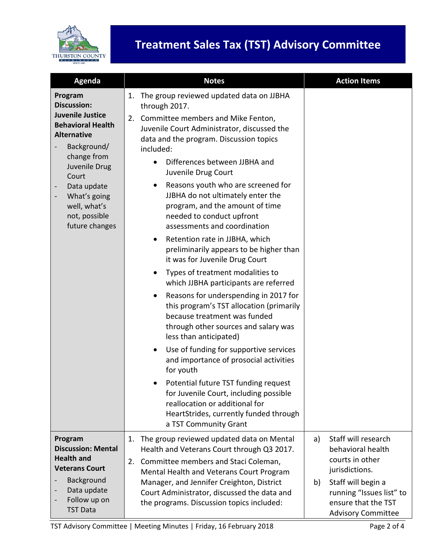

## **Treatment Sales Tax (TST) Advisory Committee**

| Agenda                                                                                                                                                                                                                                               | <b>Notes</b>                                                                                                                                                                                                                                                                                                                                                                                                                                                                                                                                                                                                                                                                                                                                                                                                                                                                                                                                                                                                                                                                                                                                                              | <b>Action Items</b>                                                                                                                                                                             |
|------------------------------------------------------------------------------------------------------------------------------------------------------------------------------------------------------------------------------------------------------|---------------------------------------------------------------------------------------------------------------------------------------------------------------------------------------------------------------------------------------------------------------------------------------------------------------------------------------------------------------------------------------------------------------------------------------------------------------------------------------------------------------------------------------------------------------------------------------------------------------------------------------------------------------------------------------------------------------------------------------------------------------------------------------------------------------------------------------------------------------------------------------------------------------------------------------------------------------------------------------------------------------------------------------------------------------------------------------------------------------------------------------------------------------------------|-------------------------------------------------------------------------------------------------------------------------------------------------------------------------------------------------|
| Program<br><b>Discussion:</b><br><b>Juvenile Justice</b><br><b>Behavioral Health</b><br><b>Alternative</b><br>Background/<br>change from<br>Juvenile Drug<br>Court<br>Data update<br>What's going<br>well, what's<br>not, possible<br>future changes | The group reviewed updated data on JJBHA<br>1.<br>through 2017.<br>Committee members and Mike Fenton,<br>2.<br>Juvenile Court Administrator, discussed the<br>data and the program. Discussion topics<br>included:<br>Differences between JJBHA and<br>Juvenile Drug Court<br>Reasons youth who are screened for<br>٠<br>JJBHA do not ultimately enter the<br>program, and the amount of time<br>needed to conduct upfront<br>assessments and coordination<br>Retention rate in JJBHA, which<br>$\bullet$<br>preliminarily appears to be higher than<br>it was for Juvenile Drug Court<br>Types of treatment modalities to<br>٠<br>which JJBHA participants are referred<br>Reasons for underspending in 2017 for<br>$\bullet$<br>this program's TST allocation (primarily<br>because treatment was funded<br>through other sources and salary was<br>less than anticipated)<br>Use of funding for supportive services<br>٠<br>and importance of prosocial activities<br>for youth<br>Potential future TST funding request<br>for Juvenile Court, including possible<br>reallocation or additional for<br>HeartStrides, currently funded through<br>a TST Community Grant |                                                                                                                                                                                                 |
| Program<br><b>Discussion: Mental</b><br><b>Health and</b><br><b>Veterans Court</b><br>Background<br>Data update<br>Follow up on<br><b>TST Data</b>                                                                                                   | The group reviewed updated data on Mental<br>1.<br>Health and Veterans Court through Q3 2017.<br>Committee members and Staci Coleman,<br>2.<br>Mental Health and Veterans Court Program<br>Manager, and Jennifer Creighton, District<br>Court Administrator, discussed the data and<br>the programs. Discussion topics included:                                                                                                                                                                                                                                                                                                                                                                                                                                                                                                                                                                                                                                                                                                                                                                                                                                          | Staff will research<br>a)<br>behavioral health<br>courts in other<br>jurisdictions.<br>Staff will begin a<br>b)<br>running "Issues list" to<br>ensure that the TST<br><b>Advisory Committee</b> |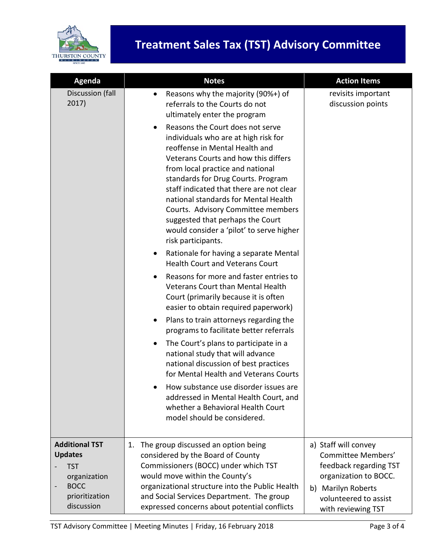

| Agenda                                                                | <b>Notes</b>                                                                                                                                                                                                                                                                                                                                                                                                                                                              | <b>Action Items</b>                                                                           |
|-----------------------------------------------------------------------|---------------------------------------------------------------------------------------------------------------------------------------------------------------------------------------------------------------------------------------------------------------------------------------------------------------------------------------------------------------------------------------------------------------------------------------------------------------------------|-----------------------------------------------------------------------------------------------|
| Discussion (fall<br>2017)                                             | Reasons why the majority (90%+) of<br>$\bullet$<br>referrals to the Courts do not<br>ultimately enter the program                                                                                                                                                                                                                                                                                                                                                         | revisits important<br>discussion points                                                       |
|                                                                       | Reasons the Court does not serve<br>$\bullet$<br>individuals who are at high risk for<br>reoffense in Mental Health and<br>Veterans Courts and how this differs<br>from local practice and national<br>standards for Drug Courts. Program<br>staff indicated that there are not clear<br>national standards for Mental Health<br>Courts. Advisory Committee members<br>suggested that perhaps the Court<br>would consider a 'pilot' to serve higher<br>risk participants. |                                                                                               |
|                                                                       | Rationale for having a separate Mental<br>$\bullet$<br><b>Health Court and Veterans Court</b>                                                                                                                                                                                                                                                                                                                                                                             |                                                                                               |
|                                                                       | Reasons for more and faster entries to<br>$\bullet$<br>Veterans Court than Mental Health<br>Court (primarily because it is often<br>easier to obtain required paperwork)                                                                                                                                                                                                                                                                                                  |                                                                                               |
|                                                                       | Plans to train attorneys regarding the<br>$\bullet$<br>programs to facilitate better referrals<br>The Court's plans to participate in a<br>$\bullet$<br>national study that will advance<br>national discussion of best practices                                                                                                                                                                                                                                         |                                                                                               |
|                                                                       | for Mental Health and Veterans Courts<br>How substance use disorder issues are<br>addressed in Mental Health Court, and<br>whether a Behavioral Health Court<br>model should be considered.                                                                                                                                                                                                                                                                               |                                                                                               |
| <b>Additional TST</b><br><b>Updates</b><br><b>TST</b><br>organization | The group discussed an option being<br>1.<br>considered by the Board of County<br>Commissioners (BOCC) under which TST<br>would move within the County's                                                                                                                                                                                                                                                                                                                  | a) Staff will convey<br>Committee Members'<br>feedback regarding TST<br>organization to BOCC. |
| <b>BOCC</b><br>prioritization<br>discussion                           | organizational structure into the Public Health<br>and Social Services Department. The group<br>expressed concerns about potential conflicts                                                                                                                                                                                                                                                                                                                              | b) Marilyn Roberts<br>volunteered to assist<br>with reviewing TST                             |